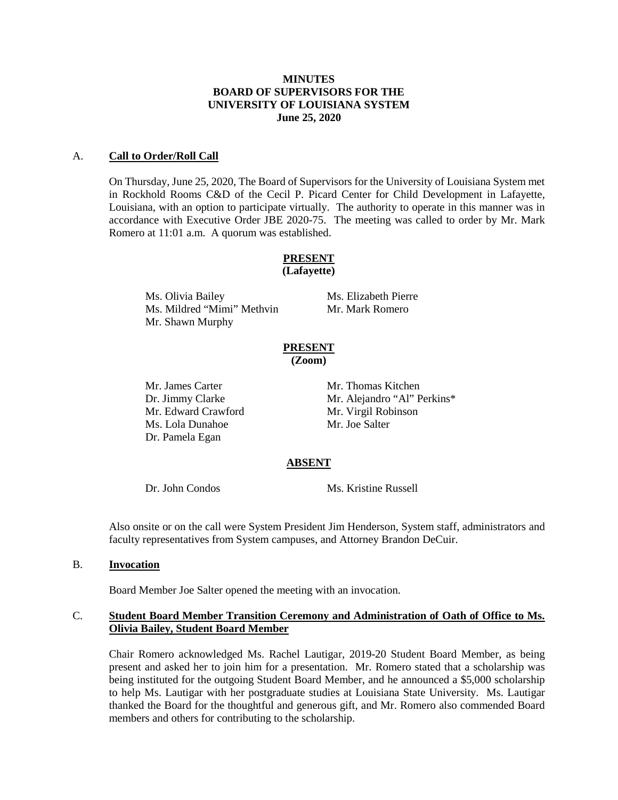### **MINUTES BOARD OF SUPERVISORS FOR THE UNIVERSITY OF LOUISIANA SYSTEM June 25, 2020**

### A. **Call to Order/Roll Call**

On Thursday, June 25, 2020, The Board of Supervisors for the University of Louisiana System met in Rockhold Rooms C&D of the Cecil P. Picard Center for Child Development in Lafayette, Louisiana, with an option to participate virtually. The authority to operate in this manner was in accordance with Executive Order JBE 2020-75. The meeting was called to order by Mr. Mark Romero at 11:01 a.m. A quorum was established.

#### **PRESENT (Lafayette)**

Ms. Olivia Bailey Ms. Elizabeth Pierre<br>
Ms. Mildred "Mimi" Methvin Mr. Mark Romero Ms. Mildred "Mimi" Methvin Mr. Shawn Murphy

# **PRESENT**

**(Zoom)**

Mr. James Carter Mr. Thomas Kitchen Mr. Edward Crawford Mr. Virgil Robinson Ms. Lola Dunahoe Mr. Joe Salter Dr. Pamela Egan

Dr. Jimmy Clarke Mr. Alejandro "Al" Perkins\*

# **ABSENT**

Dr. John Condos Ms. Kristine Russell

Also onsite or on the call were System President Jim Henderson, System staff, administrators and faculty representatives from System campuses, and Attorney Brandon DeCuir.

# B. **Invocation**

Board Member Joe Salter opened the meeting with an invocation.

# C. **Student Board Member Transition Ceremony and Administration of Oath of Office to Ms. Olivia Bailey, Student Board Member**

Chair Romero acknowledged Ms. Rachel Lautigar, 2019-20 Student Board Member, as being present and asked her to join him for a presentation. Mr. Romero stated that a scholarship was being instituted for the outgoing Student Board Member, and he announced a \$5,000 scholarship to help Ms. Lautigar with her postgraduate studies at Louisiana State University. Ms. Lautigar thanked the Board for the thoughtful and generous gift, and Mr. Romero also commended Board members and others for contributing to the scholarship.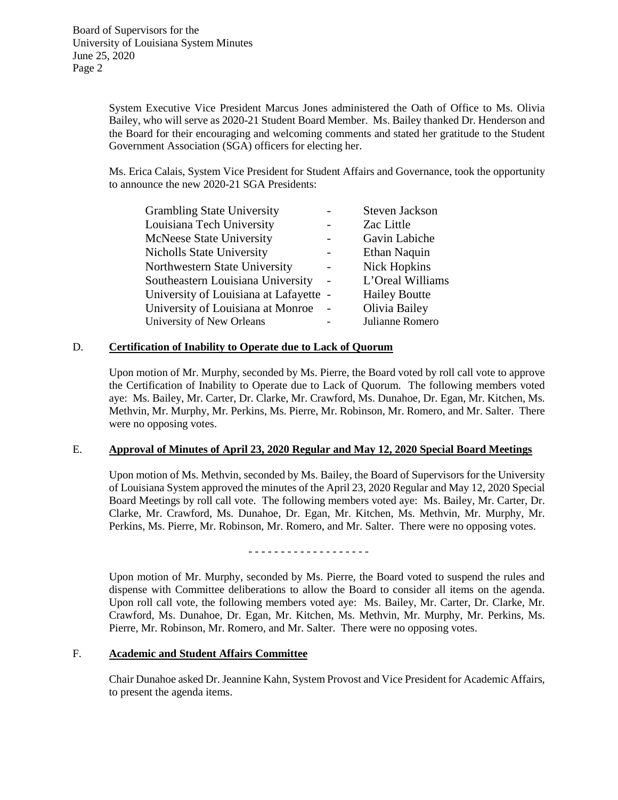System Executive Vice President Marcus Jones administered the Oath of Office to Ms. Olivia Bailey, who will serve as 2020-21 Student Board Member. Ms. Bailey thanked Dr. Henderson and the Board for their encouraging and welcoming comments and stated her gratitude to the Student Government Association (SGA) officers for electing her.

Ms. Erica Calais, System Vice President for Student Affairs and Governance, took the opportunity to announce the new 2020-21 SGA Presidents:

| <b>Grambling State University</b>      | <b>Steven Jackson</b> |
|----------------------------------------|-----------------------|
| Louisiana Tech University              | Zac Little            |
| <b>McNeese State University</b>        | Gavin Labiche         |
| <b>Nicholls State University</b>       | Ethan Naquin          |
| Northwestern State University          | Nick Hopkins          |
| Southeastern Louisiana University      | L'Oreal Williams      |
| University of Louisiana at Lafayette - | <b>Hailey Boutte</b>  |
| University of Louisiana at Monroe      | Olivia Bailey         |
| University of New Orleans              | Julianne Romero       |

### D. **Certification of Inability to Operate due to Lack of Quorum**

Upon motion of Mr. Murphy, seconded by Ms. Pierre, the Board voted by roll call vote to approve the Certification of Inability to Operate due to Lack of Quorum. The following members voted aye: Ms. Bailey, Mr. Carter, Dr. Clarke, Mr. Crawford, Ms. Dunahoe, Dr. Egan, Mr. Kitchen, Ms. Methvin, Mr. Murphy, Mr. Perkins, Ms. Pierre, Mr. Robinson, Mr. Romero, and Mr. Salter. There were no opposing votes.

### E. **Approval of Minutes of April 23, 2020 Regular and May 12, 2020 Special Board Meetings**

Upon motion of Ms. Methvin, seconded by Ms. Bailey, the Board of Supervisors for the University of Louisiana System approved the minutes of the April 23, 2020 Regular and May 12, 2020 Special Board Meetings by roll call vote. The following members voted aye: Ms. Bailey, Mr. Carter, Dr. Clarke, Mr. Crawford, Ms. Dunahoe, Dr. Egan, Mr. Kitchen, Ms. Methvin, Mr. Murphy, Mr. Perkins, Ms. Pierre, Mr. Robinson, Mr. Romero, and Mr. Salter. There were no opposing votes.

- - - - - - - - - - - - - - - - - - -

Upon motion of Mr. Murphy, seconded by Ms. Pierre, the Board voted to suspend the rules and dispense with Committee deliberations to allow the Board to consider all items on the agenda. Upon roll call vote, the following members voted aye: Ms. Bailey, Mr. Carter, Dr. Clarke, Mr. Crawford, Ms. Dunahoe, Dr. Egan, Mr. Kitchen, Ms. Methvin, Mr. Murphy, Mr. Perkins, Ms. Pierre, Mr. Robinson, Mr. Romero, and Mr. Salter. There were no opposing votes.

#### F. **Academic and Student Affairs Committee**

Chair Dunahoe asked Dr. Jeannine Kahn, System Provost and Vice President for Academic Affairs, to present the agenda items.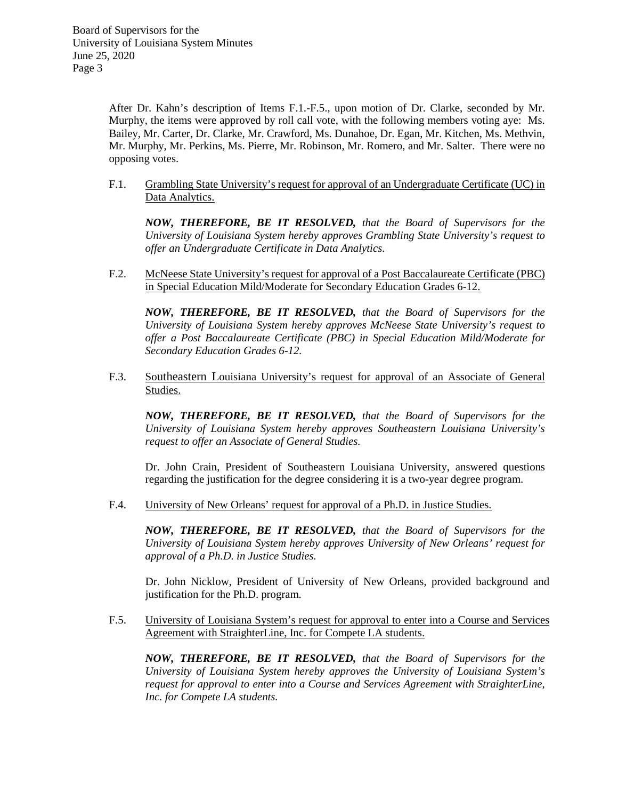After Dr. Kahn's description of Items F.1.-F.5., upon motion of Dr. Clarke, seconded by Mr. Murphy, the items were approved by roll call vote, with the following members voting aye: Ms. Bailey, Mr. Carter, Dr. Clarke, Mr. Crawford, Ms. Dunahoe, Dr. Egan, Mr. Kitchen, Ms. Methvin, Mr. Murphy, Mr. Perkins, Ms. Pierre, Mr. Robinson, Mr. Romero, and Mr. Salter. There were no opposing votes.

F.1. Grambling State University's request for approval of an Undergraduate Certificate (UC) in Data Analytics.

*NOW, THEREFORE, BE IT RESOLVED, that the Board of Supervisors for the University of Louisiana System hereby approves Grambling State University's request to offer an Undergraduate Certificate in Data Analytics.*

F.2. McNeese State University's request for approval of a Post Baccalaureate Certificate (PBC) in Special Education Mild/Moderate for Secondary Education Grades 6-12.

*NOW, THEREFORE, BE IT RESOLVED, that the Board of Supervisors for the University of Louisiana System hereby approves McNeese State University's request to offer a Post Baccalaureate Certificate (PBC) in Special Education Mild/Moderate for Secondary Education Grades 6-12.*

F.3. Southeastern Louisiana University's request for approval of an Associate of General Studies.

*NOW, THEREFORE, BE IT RESOLVED, that the Board of Supervisors for the University of Louisiana System hereby approves Southeastern Louisiana University's request to offer an Associate of General Studies.*

Dr. John Crain, President of Southeastern Louisiana University, answered questions regarding the justification for the degree considering it is a two-year degree program.

F.4. University of New Orleans' request for approval of a Ph.D. in Justice Studies.

*NOW, THEREFORE, BE IT RESOLVED, that the Board of Supervisors for the University of Louisiana System hereby approves University of New Orleans' request for approval of a Ph.D. in Justice Studies.*

Dr. John Nicklow, President of University of New Orleans, provided background and justification for the Ph.D. program.

F.5. University of Louisiana System's request for approval to enter into a Course and Services Agreement with StraighterLine, Inc. for Compete LA students.

*NOW, THEREFORE, BE IT RESOLVED, that the Board of Supervisors for the University of Louisiana System hereby approves the University of Louisiana System's request for approval to enter into a Course and Services Agreement with StraighterLine, Inc. for Compete LA students.*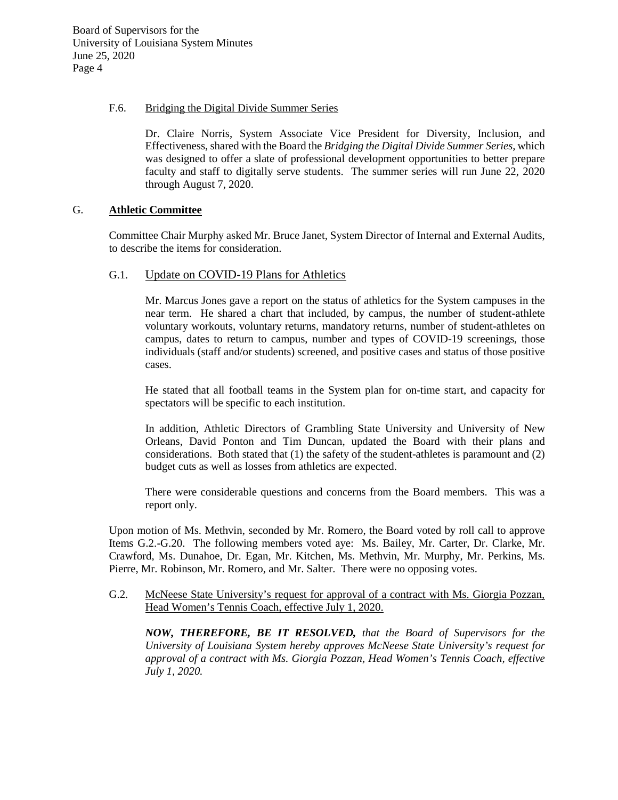### F.6. Bridging the Digital Divide Summer Series

Dr. Claire Norris, System Associate Vice President for Diversity, Inclusion, and Effectiveness, shared with the Board the *Bridging the Digital Divide Summer Series,* which was designed to offer a slate of professional development opportunities to better prepare faculty and staff to digitally serve students. The summer series will run June 22, 2020 through August 7, 2020.

### G. **Athletic Committee**

Committee Chair Murphy asked Mr. Bruce Janet, System Director of Internal and External Audits, to describe the items for consideration.

# G.1. Update on COVID-19 Plans for Athletics

Mr. Marcus Jones gave a report on the status of athletics for the System campuses in the near term. He shared a chart that included, by campus, the number of student-athlete voluntary workouts, voluntary returns, mandatory returns, number of student-athletes on campus, dates to return to campus, number and types of COVID-19 screenings, those individuals (staff and/or students) screened, and positive cases and status of those positive cases.

He stated that all football teams in the System plan for on-time start, and capacity for spectators will be specific to each institution.

In addition, Athletic Directors of Grambling State University and University of New Orleans, David Ponton and Tim Duncan, updated the Board with their plans and considerations. Both stated that (1) the safety of the student-athletes is paramount and (2) budget cuts as well as losses from athletics are expected.

There were considerable questions and concerns from the Board members. This was a report only.

Upon motion of Ms. Methvin, seconded by Mr. Romero, the Board voted by roll call to approve Items G.2.-G.20. The following members voted aye: Ms. Bailey, Mr. Carter, Dr. Clarke, Mr. Crawford, Ms. Dunahoe, Dr. Egan, Mr. Kitchen, Ms. Methvin, Mr. Murphy, Mr. Perkins, Ms. Pierre, Mr. Robinson, Mr. Romero, and Mr. Salter. There were no opposing votes.

### G.2. McNeese State University's request for approval of a contract with Ms. Giorgia Pozzan, Head Women's Tennis Coach, effective July 1, 2020.

*NOW, THEREFORE, BE IT RESOLVED, that the Board of Supervisors for the University of Louisiana System hereby approves McNeese State University's request for approval of a contract with Ms. Giorgia Pozzan, Head Women's Tennis Coach, effective July 1, 2020.*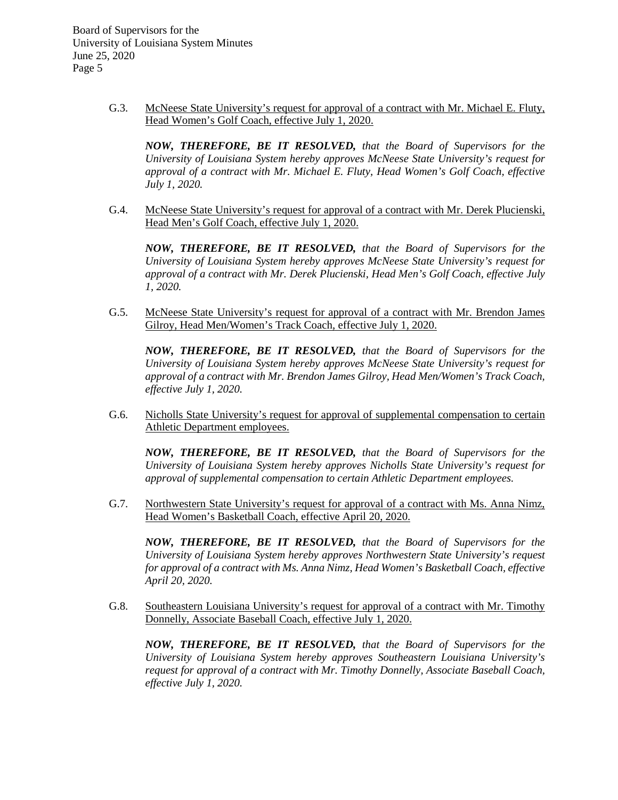> G.3. McNeese State University's request for approval of a contract with Mr. Michael E. Fluty, Head Women's Golf Coach, effective July 1, 2020.

*NOW, THEREFORE, BE IT RESOLVED, that the Board of Supervisors for the University of Louisiana System hereby approves McNeese State University's request for approval of a contract with Mr. Michael E. Fluty, Head Women's Golf Coach, effective July 1, 2020.*

G.4. McNeese State University's request for approval of a contract with Mr. Derek Plucienski, Head Men's Golf Coach, effective July 1, 2020.

*NOW, THEREFORE, BE IT RESOLVED, that the Board of Supervisors for the University of Louisiana System hereby approves McNeese State University's request for approval of a contract with Mr. Derek Plucienski, Head Men's Golf Coach, effective July 1, 2020.*

G.5. McNeese State University's request for approval of a contract with Mr. Brendon James Gilroy, Head Men/Women's Track Coach, effective July 1, 2020.

*NOW, THEREFORE, BE IT RESOLVED, that the Board of Supervisors for the University of Louisiana System hereby approves McNeese State University's request for approval of a contract with Mr. Brendon James Gilroy, Head Men/Women's Track Coach, effective July 1, 2020.*

G.6. Nicholls State University's request for approval of supplemental compensation to certain Athletic Department employees.

*NOW, THEREFORE, BE IT RESOLVED, that the Board of Supervisors for the University of Louisiana System hereby approves Nicholls State University's request for approval of supplemental compensation to certain Athletic Department employees.*

G.7. Northwestern State University's request for approval of a contract with Ms. Anna Nimz, Head Women's Basketball Coach, effective April 20, 2020.

*NOW, THEREFORE, BE IT RESOLVED, that the Board of Supervisors for the University of Louisiana System hereby approves Northwestern State University's request for approval of a contract with Ms. Anna Nimz, Head Women's Basketball Coach, effective April 20, 2020.*

G.8. Southeastern Louisiana University's request for approval of a contract with Mr. Timothy Donnelly, Associate Baseball Coach, effective July 1, 2020.

*NOW, THEREFORE, BE IT RESOLVED, that the Board of Supervisors for the University of Louisiana System hereby approves Southeastern Louisiana University's request for approval of a contract with Mr. Timothy Donnelly, Associate Baseball Coach, effective July 1, 2020.*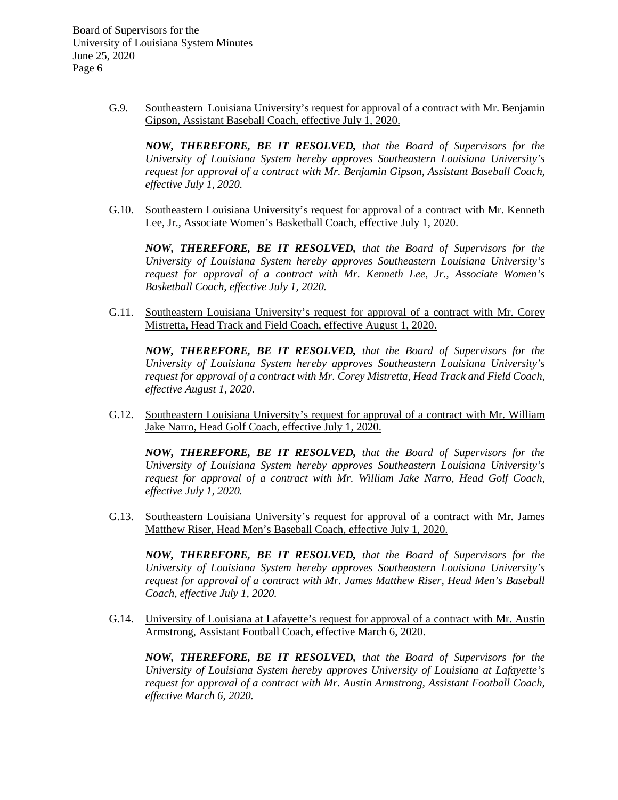> G.9. Southeastern Louisiana University's request for approval of a contract with Mr. Benjamin Gipson, Assistant Baseball Coach, effective July 1, 2020.

*NOW, THEREFORE, BE IT RESOLVED, that the Board of Supervisors for the University of Louisiana System hereby approves Southeastern Louisiana University's request for approval of a contract with Mr. Benjamin Gipson, Assistant Baseball Coach, effective July 1, 2020.*

G.10. Southeastern Louisiana University's request for approval of a contract with Mr. Kenneth Lee, Jr., Associate Women's Basketball Coach, effective July 1, 2020.

*NOW, THEREFORE, BE IT RESOLVED, that the Board of Supervisors for the University of Louisiana System hereby approves Southeastern Louisiana University's request for approval of a contract with Mr. Kenneth Lee, Jr., Associate Women's Basketball Coach, effective July 1, 2020.*

G.11. Southeastern Louisiana University's request for approval of a contract with Mr. Corey Mistretta, Head Track and Field Coach, effective August 1, 2020.

*NOW, THEREFORE, BE IT RESOLVED, that the Board of Supervisors for the University of Louisiana System hereby approves Southeastern Louisiana University's request for approval of a contract with Mr. Corey Mistretta, Head Track and Field Coach, effective August 1, 2020.*

G.12. Southeastern Louisiana University's request for approval of a contract with Mr. William Jake Narro, Head Golf Coach, effective July 1, 2020.

*NOW, THEREFORE, BE IT RESOLVED, that the Board of Supervisors for the University of Louisiana System hereby approves Southeastern Louisiana University's request for approval of a contract with Mr. William Jake Narro, Head Golf Coach, effective July 1, 2020.*

G.13. Southeastern Louisiana University's request for approval of a contract with Mr. James Matthew Riser, Head Men's Baseball Coach, effective July 1, 2020.

*NOW, THEREFORE, BE IT RESOLVED, that the Board of Supervisors for the University of Louisiana System hereby approves Southeastern Louisiana University's request for approval of a contract with Mr. James Matthew Riser, Head Men's Baseball Coach, effective July 1, 2020.*

G.14. University of Louisiana at Lafayette's request for approval of a contract with Mr. Austin Armstrong, Assistant Football Coach, effective March 6, 2020.

*NOW, THEREFORE, BE IT RESOLVED, that the Board of Supervisors for the University of Louisiana System hereby approves University of Louisiana at Lafayette's request for approval of a contract with Mr. Austin Armstrong, Assistant Football Coach, effective March 6, 2020.*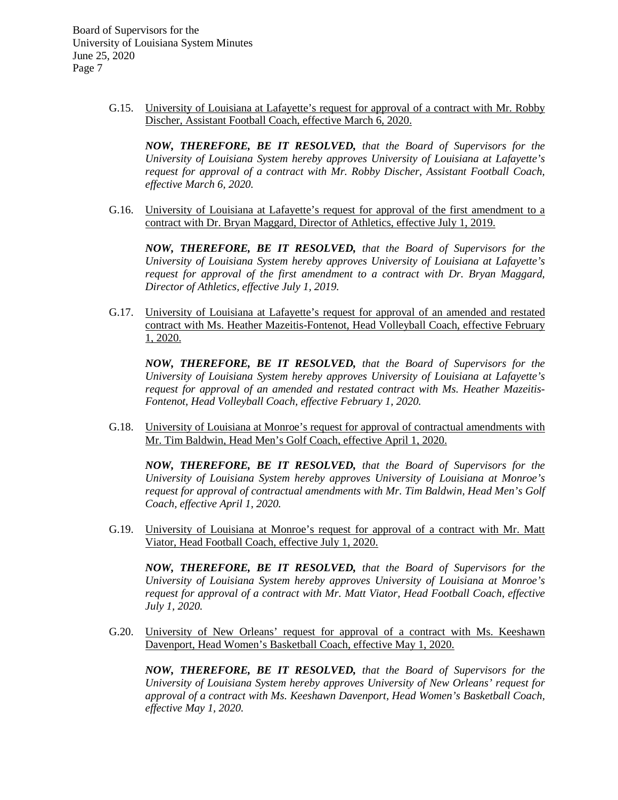> G.15. University of Louisiana at Lafayette's request for approval of a contract with Mr. Robby Discher, Assistant Football Coach, effective March 6, 2020.

*NOW, THEREFORE, BE IT RESOLVED, that the Board of Supervisors for the University of Louisiana System hereby approves University of Louisiana at Lafayette's request for approval of a contract with Mr. Robby Discher, Assistant Football Coach, effective March 6, 2020.*

G.16. University of Louisiana at Lafayette's request for approval of the first amendment to a contract with Dr. Bryan Maggard, Director of Athletics, effective July 1, 2019.

*NOW, THEREFORE, BE IT RESOLVED, that the Board of Supervisors for the University of Louisiana System hereby approves University of Louisiana at Lafayette's request for approval of the first amendment to a contract with Dr. Bryan Maggard, Director of Athletics, effective July 1, 2019.*

G.17. University of Louisiana at Lafayette's request for approval of an amended and restated contract with Ms. Heather Mazeitis-Fontenot, Head Volleyball Coach, effective February 1, 2020.

*NOW, THEREFORE, BE IT RESOLVED, that the Board of Supervisors for the University of Louisiana System hereby approves University of Louisiana at Lafayette's request for approval of an amended and restated contract with Ms. Heather Mazeitis-Fontenot, Head Volleyball Coach, effective February 1, 2020.*

G.18. University of Louisiana at Monroe's request for approval of contractual amendments with Mr. Tim Baldwin, Head Men's Golf Coach, effective April 1, 2020.

*NOW, THEREFORE, BE IT RESOLVED, that the Board of Supervisors for the University of Louisiana System hereby approves University of Louisiana at Monroe's request for approval of contractual amendments with Mr. Tim Baldwin, Head Men's Golf Coach, effective April 1, 2020.*

G.19. University of Louisiana at Monroe's request for approval of a contract with Mr. Matt Viator, Head Football Coach, effective July 1, 2020.

*NOW, THEREFORE, BE IT RESOLVED, that the Board of Supervisors for the University of Louisiana System hereby approves University of Louisiana at Monroe's request for approval of a contract with Mr. Matt Viator, Head Football Coach, effective July 1, 2020.*

G.20. University of New Orleans' request for approval of a contract with Ms. Keeshawn Davenport, Head Women's Basketball Coach, effective May 1, 2020.

*NOW, THEREFORE, BE IT RESOLVED, that the Board of Supervisors for the University of Louisiana System hereby approves University of New Orleans' request for approval of a contract with Ms. Keeshawn Davenport, Head Women's Basketball Coach, effective May 1, 2020.*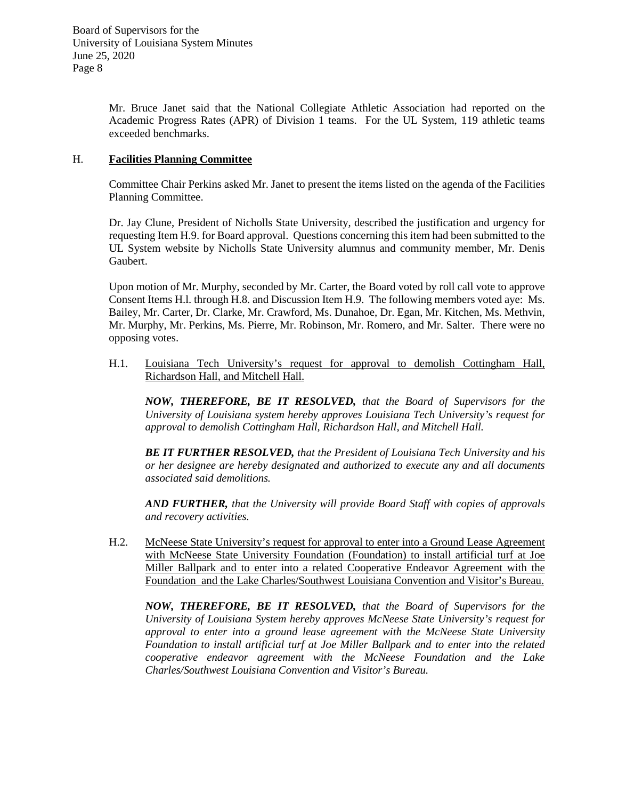Mr. Bruce Janet said that the National Collegiate Athletic Association had reported on the Academic Progress Rates (APR) of Division 1 teams. For the UL System, 119 athletic teams exceeded benchmarks.

# H. **Facilities Planning Committee**

Committee Chair Perkins asked Mr. Janet to present the items listed on the agenda of the Facilities Planning Committee.

Dr. Jay Clune, President of Nicholls State University, described the justification and urgency for requesting Item H.9. for Board approval. Questions concerning this item had been submitted to the UL System website by Nicholls State University alumnus and community member, Mr. Denis Gaubert.

Upon motion of Mr. Murphy, seconded by Mr. Carter, the Board voted by roll call vote to approve Consent Items H.l. through H.8. and Discussion Item H.9. The following members voted aye: Ms. Bailey, Mr. Carter, Dr. Clarke, Mr. Crawford, Ms. Dunahoe, Dr. Egan, Mr. Kitchen, Ms. Methvin, Mr. Murphy, Mr. Perkins, Ms. Pierre, Mr. Robinson, Mr. Romero, and Mr. Salter. There were no opposing votes.

H.1. Louisiana Tech University's request for approval to demolish Cottingham Hall, Richardson Hall, and Mitchell Hall.

*NOW, THEREFORE, BE IT RESOLVED, that the Board of Supervisors for the University of Louisiana system hereby approves Louisiana Tech University's request for approval to demolish Cottingham Hall, Richardson Hall, and Mitchell Hall.* 

*BE IT FURTHER RESOLVED, that the President of Louisiana Tech University and his or her designee are hereby designated and authorized to execute any and all documents associated said demolitions.*

*AND FURTHER, that the University will provide Board Staff with copies of approvals and recovery activities.*

H.2. McNeese State University's request for approval to enter into a Ground Lease Agreement with McNeese State University Foundation (Foundation) to install artificial turf at Joe Miller Ballpark and to enter into a related Cooperative Endeavor Agreement with the Foundation and the Lake Charles/Southwest Louisiana Convention and Visitor's Bureau.

*NOW, THEREFORE, BE IT RESOLVED, that the Board of Supervisors for the University of Louisiana System hereby approves McNeese State University's request for approval to enter into a ground lease agreement with the McNeese State University Foundation to install artificial turf at Joe Miller Ballpark and to enter into the related cooperative endeavor agreement with the McNeese Foundation and the Lake Charles/Southwest Louisiana Convention and Visitor's Bureau.*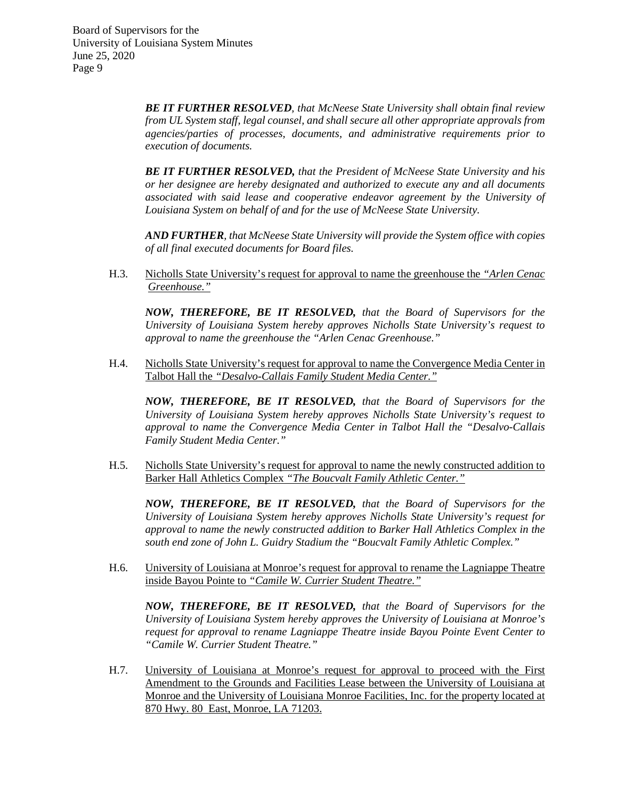> *BE IT FURTHER RESOLVED, that McNeese State University shall obtain final review from UL System staff, legal counsel, and shall secure all other appropriate approvals from agencies/parties of processes, documents, and administrative requirements prior to execution of documents.*

> *BE IT FURTHER RESOLVED, that the President of McNeese State University and his or her designee are hereby designated and authorized to execute any and all documents associated with said lease and cooperative endeavor agreement by the University of Louisiana System on behalf of and for the use of McNeese State University.*

> *AND FURTHER, that McNeese State University will provide the System office with copies of all final executed documents for Board files.*

H.3. Nicholls State University's request for approval to name the greenhouse the *"Arlen Cenac Greenhouse."*

*NOW, THEREFORE, BE IT RESOLVED, that the Board of Supervisors for the University of Louisiana System hereby approves Nicholls State University's request to approval to name the greenhouse the "Arlen Cenac Greenhouse."*

H.4. Nicholls State University's request for approval to name the Convergence Media Center in Talbot Hall the *"Desalvo-Callais Family Student Media Center."*

*NOW, THEREFORE, BE IT RESOLVED, that the Board of Supervisors for the University of Louisiana System hereby approves Nicholls State University's request to approval to name the Convergence Media Center in Talbot Hall the "Desalvo-Callais Family Student Media Center."*

H.5. Nicholls State University's request for approval to name the newly constructed addition to Barker Hall Athletics Complex *"The Boucvalt Family Athletic Center."*

*NOW, THEREFORE, BE IT RESOLVED, that the Board of Supervisors for the University of Louisiana System hereby approves Nicholls State University's request for approval to name the newly constructed addition to Barker Hall Athletics Complex in the south end zone of John L. Guidry Stadium the "Boucvalt Family Athletic Complex."*

H.6. University of Louisiana at Monroe's request for approval to rename the Lagniappe Theatre inside Bayou Pointe to *"Camile W. Currier Student Theatre."*

*NOW, THEREFORE, BE IT RESOLVED, that the Board of Supervisors for the University of Louisiana System hereby approves the University of Louisiana at Monroe's request for approval to rename Lagniappe Theatre inside Bayou Pointe Event Center to "Camile W. Currier Student Theatre."*

H.7. University of Louisiana at Monroe's request for approval to proceed with the First Amendment to the Grounds and Facilities Lease between the University of Louisiana at Monroe and the University of Louisiana Monroe Facilities, Inc. for the property located at 870 Hwy. 80 East, Monroe, LA 71203.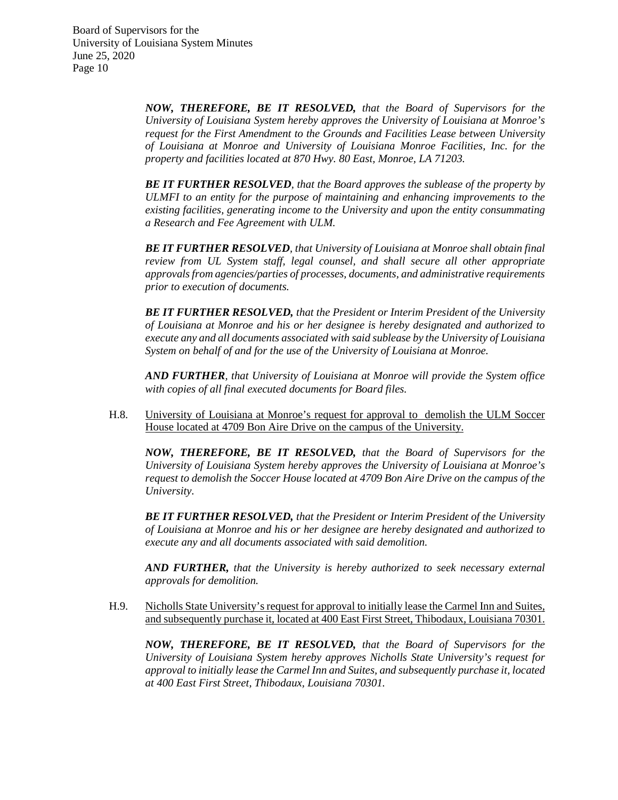> *NOW, THEREFORE, BE IT RESOLVED, that the Board of Supervisors for the University of Louisiana System hereby approves the University of Louisiana at Monroe's request for the First Amendment to the Grounds and Facilities Lease between University of Louisiana at Monroe and University of Louisiana Monroe Facilities, Inc. for the property and facilities located at 870 Hwy. 80 East, Monroe, LA 71203.*

> *BE IT FURTHER RESOLVED, that the Board approves the sublease of the property by ULMFI to an entity for the purpose of maintaining and enhancing improvements to the existing facilities, generating income to the University and upon the entity consummating a Research and Fee Agreement with ULM.*

> *BE IT FURTHER RESOLVED, that University of Louisiana at Monroe shall obtain final review from UL System staff, legal counsel, and shall secure all other appropriate approvals from agencies/parties of processes, documents, and administrative requirements prior to execution of documents.*

> *BE IT FURTHER RESOLVED, that the President or Interim President of the University of Louisiana at Monroe and his or her designee is hereby designated and authorized to execute any and all documents associated with said sublease by the University of Louisiana System on behalf of and for the use of the University of Louisiana at Monroe.*

> *AND FURTHER, that University of Louisiana at Monroe will provide the System office with copies of all final executed documents for Board files.*

H.8. University of Louisiana at Monroe's request for approval to demolish the ULM Soccer House located at 4709 Bon Aire Drive on the campus of the University.

*NOW, THEREFORE, BE IT RESOLVED, that the Board of Supervisors for the University of Louisiana System hereby approves the University of Louisiana at Monroe's request to demolish the Soccer House located at 4709 Bon Aire Drive on the campus of the University.*

*BE IT FURTHER RESOLVED, that the President or Interim President of the University of Louisiana at Monroe and his or her designee are hereby designated and authorized to execute any and all documents associated with said demolition.*

*AND FURTHER, that the University is hereby authorized to seek necessary external approvals for demolition.*

H.9. Nicholls State University's request for approval to initially lease the Carmel Inn and Suites, and subsequently purchase it, located at 400 East First Street, Thibodaux, Louisiana 70301.

*NOW, THEREFORE, BE IT RESOLVED, that the Board of Supervisors for the University of Louisiana System hereby approves Nicholls State University's request for approval to initially lease the Carmel Inn and Suites, and subsequently purchase it, located at 400 East First Street, Thibodaux, Louisiana 70301.*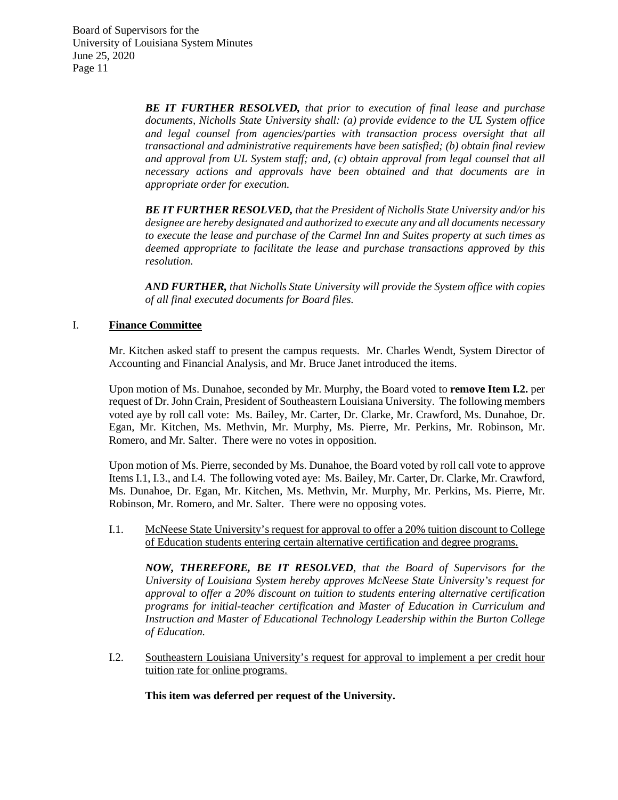> *BE IT FURTHER RESOLVED, that prior to execution of final lease and purchase documents, Nicholls State University shall: (a) provide evidence to the UL System office and legal counsel from agencies/parties with transaction process oversight that all transactional and administrative requirements have been satisfied; (b) obtain final review and approval from UL System staff; and, (c) obtain approval from legal counsel that all necessary actions and approvals have been obtained and that documents are in appropriate order for execution.*

> *BE IT FURTHER RESOLVED, that the President of Nicholls State University and/or his designee are hereby designated and authorized to execute any and all documents necessary to execute the lease and purchase of the Carmel Inn and Suites property at such times as deemed appropriate to facilitate the lease and purchase transactions approved by this resolution.*

> *AND FURTHER, that Nicholls State University will provide the System office with copies of all final executed documents for Board files.*

# I. **Finance Committee**

Mr. Kitchen asked staff to present the campus requests. Mr. Charles Wendt, System Director of Accounting and Financial Analysis, and Mr. Bruce Janet introduced the items.

Upon motion of Ms. Dunahoe, seconded by Mr. Murphy, the Board voted to **remove Item I.2.** per request of Dr. John Crain, President of Southeastern Louisiana University. The following members voted aye by roll call vote: Ms. Bailey, Mr. Carter, Dr. Clarke, Mr. Crawford, Ms. Dunahoe, Dr. Egan, Mr. Kitchen, Ms. Methvin, Mr. Murphy, Ms. Pierre, Mr. Perkins, Mr. Robinson, Mr. Romero, and Mr. Salter. There were no votes in opposition.

Upon motion of Ms. Pierre, seconded by Ms. Dunahoe, the Board voted by roll call vote to approve Items I.1, I.3., and I.4. The following voted aye: Ms. Bailey, Mr. Carter, Dr. Clarke, Mr. Crawford, Ms. Dunahoe, Dr. Egan, Mr. Kitchen, Ms. Methvin, Mr. Murphy, Mr. Perkins, Ms. Pierre, Mr. Robinson, Mr. Romero, and Mr. Salter. There were no opposing votes.

I.1. McNeese State University's request for approval to offer a 20% tuition discount to College of Education students entering certain alternative certification and degree programs.

*NOW, THEREFORE, BE IT RESOLVED, that the Board of Supervisors for the University of Louisiana System hereby approves McNeese State University's request for approval to offer a 20% discount on tuition to students entering alternative certification programs for initial-teacher certification and Master of Education in Curriculum and Instruction and Master of Educational Technology Leadership within the Burton College of Education.*

I.2. Southeastern Louisiana University's request for approval to implement a per credit hour tuition rate for online programs.

**This item was deferred per request of the University.**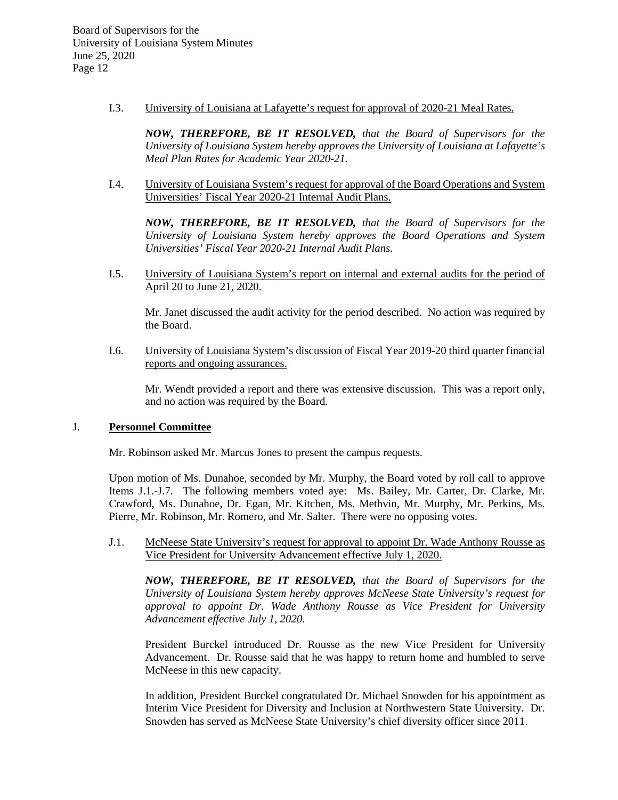I.3. University of Louisiana at Lafayette's request for approval of 2020-21 Meal Rates.

*NOW, THEREFORE, BE IT RESOLVED, that the Board of Supervisors for the University of Louisiana System hereby approves the University of Louisiana at Lafayette's Meal Plan Rates for Academic Year 2020-21.*

I.4. University of Louisiana System's request for approval of the Board Operations and System Universities' Fiscal Year 2020-21 Internal Audit Plans.

*NOW, THEREFORE, BE IT RESOLVED, that the Board of Supervisors for the University of Louisiana System hereby approves the Board Operations and System Universities' Fiscal Year 2020-21 Internal Audit Plans.*

I.5. University of Louisiana System's report on internal and external audits for the period of April 20 to June 21, 2020.

Mr. Janet discussed the audit activity for the period described. No action was required by the Board.

I.6. University of Louisiana System's discussion of Fiscal Year 2019-20 third quarter financial reports and ongoing assurances.

Mr. Wendt provided a report and there was extensive discussion. This was a report only, and no action was required by the Board.

### J. **Personnel Committee**

Mr. Robinson asked Mr. Marcus Jones to present the campus requests.

Upon motion of Ms. Dunahoe, seconded by Mr. Murphy, the Board voted by roll call to approve Items J.1.-J.7. The following members voted aye: Ms. Bailey, Mr. Carter, Dr. Clarke, Mr. Crawford, Ms. Dunahoe, Dr. Egan, Mr. Kitchen, Ms. Methvin, Mr. Murphy, Mr. Perkins, Ms. Pierre, Mr. Robinson, Mr. Romero, and Mr. Salter. There were no opposing votes.

J.1. McNeese State University's request for approval to appoint Dr. Wade Anthony Rousse as Vice President for University Advancement effective July 1, 2020.

*NOW, THEREFORE, BE IT RESOLVED, that the Board of Supervisors for the University of Louisiana System hereby approves McNeese State University's request for approval to appoint Dr. Wade Anthony Rousse as Vice President for University Advancement effective July 1, 2020.*

President Burckel introduced Dr. Rousse as the new Vice President for University Advancement. Dr. Rousse said that he was happy to return home and humbled to serve McNeese in this new capacity.

In addition, President Burckel congratulated Dr. Michael Snowden for his appointment as Interim Vice President for Diversity and Inclusion at Northwestern State University. Dr. Snowden has served as McNeese State University's chief diversity officer since 2011.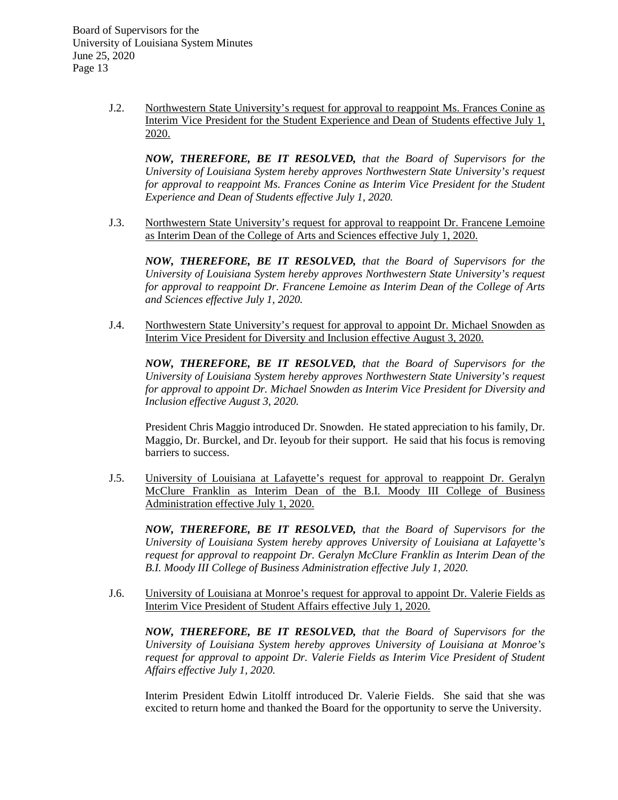J.2. Northwestern State University's request for approval to reappoint Ms. Frances Conine as Interim Vice President for the Student Experience and Dean of Students effective July 1, 2020.

*NOW, THEREFORE, BE IT RESOLVED, that the Board of Supervisors for the University of Louisiana System hereby approves Northwestern State University's request for approval to reappoint Ms. Frances Conine as Interim Vice President for the Student Experience and Dean of Students effective July 1, 2020.*

J.3. Northwestern State University's request for approval to reappoint Dr. Francene Lemoine as Interim Dean of the College of Arts and Sciences effective July 1, 2020.

*NOW, THEREFORE, BE IT RESOLVED, that the Board of Supervisors for the University of Louisiana System hereby approves Northwestern State University's request for approval to reappoint Dr. Francene Lemoine as Interim Dean of the College of Arts and Sciences effective July 1, 2020.*

J.4. Northwestern State University's request for approval to appoint Dr. Michael Snowden as Interim Vice President for Diversity and Inclusion effective August 3, 2020.

*NOW, THEREFORE, BE IT RESOLVED, that the Board of Supervisors for the University of Louisiana System hereby approves Northwestern State University's request for approval to appoint Dr. Michael Snowden as Interim Vice President for Diversity and Inclusion effective August 3, 2020.*

President Chris Maggio introduced Dr. Snowden. He stated appreciation to his family, Dr. Maggio, Dr. Burckel, and Dr. Ieyoub for their support. He said that his focus is removing barriers to success.

J.5. University of Louisiana at Lafayette's request for approval to reappoint Dr. Geralyn McClure Franklin as Interim Dean of the B.I. Moody III College of Business Administration effective July 1, 2020.

*NOW, THEREFORE, BE IT RESOLVED, that the Board of Supervisors for the University of Louisiana System hereby approves University of Louisiana at Lafayette's request for approval to reappoint Dr. Geralyn McClure Franklin as Interim Dean of the B.I. Moody III College of Business Administration effective July 1, 2020.*

J.6. University of Louisiana at Monroe's request for approval to appoint Dr. Valerie Fields as Interim Vice President of Student Affairs effective July 1, 2020.

*NOW, THEREFORE, BE IT RESOLVED, that the Board of Supervisors for the University of Louisiana System hereby approves University of Louisiana at Monroe's request for approval to appoint Dr. Valerie Fields as Interim Vice President of Student Affairs effective July 1, 2020.*

Interim President Edwin Litolff introduced Dr. Valerie Fields. She said that she was excited to return home and thanked the Board for the opportunity to serve the University.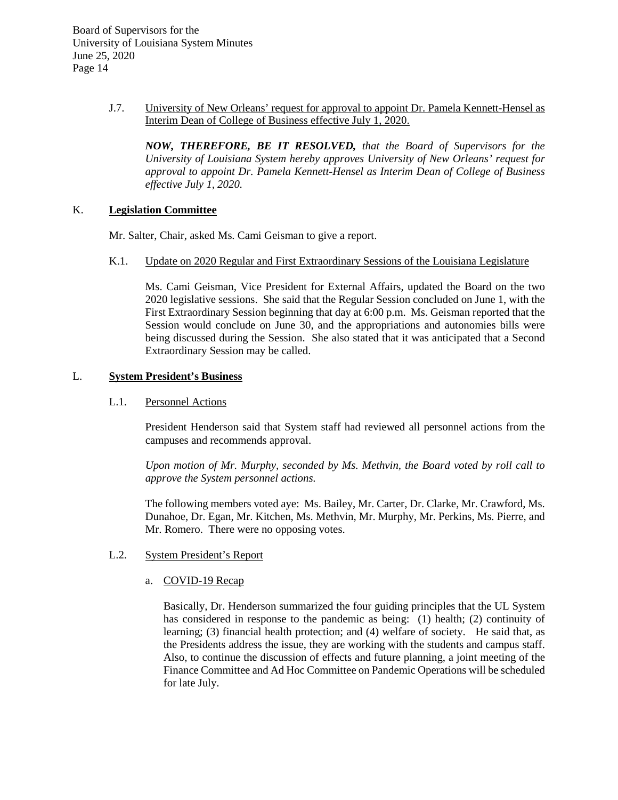> J.7. University of New Orleans' request for approval to appoint Dr. Pamela Kennett-Hensel as Interim Dean of College of Business effective July 1, 2020.

*NOW, THEREFORE, BE IT RESOLVED, that the Board of Supervisors for the University of Louisiana System hereby approves University of New Orleans' request for approval to appoint Dr. Pamela Kennett-Hensel as Interim Dean of College of Business effective July 1, 2020.*

### K. **Legislation Committee**

Mr. Salter, Chair, asked Ms. Cami Geisman to give a report.

K.1. Update on 2020 Regular and First Extraordinary Sessions of the Louisiana Legislature

Ms. Cami Geisman, Vice President for External Affairs, updated the Board on the two 2020 legislative sessions. She said that the Regular Session concluded on June 1, with the First Extraordinary Session beginning that day at 6:00 p.m. Ms. Geisman reported that the Session would conclude on June 30, and the appropriations and autonomies bills were being discussed during the Session. She also stated that it was anticipated that a Second Extraordinary Session may be called.

# L. **System President's Business**

### L.1. Personnel Actions

President Henderson said that System staff had reviewed all personnel actions from the campuses and recommends approval.

*Upon motion of Mr. Murphy, seconded by Ms. Methvin, the Board voted by roll call to approve the System personnel actions.*

The following members voted aye: Ms. Bailey, Mr. Carter, Dr. Clarke, Mr. Crawford, Ms. Dunahoe, Dr. Egan, Mr. Kitchen, Ms. Methvin, Mr. Murphy, Mr. Perkins, Ms. Pierre, and Mr. Romero. There were no opposing votes.

# L.2. System President's Report

# a. COVID-19 Recap

Basically, Dr. Henderson summarized the four guiding principles that the UL System has considered in response to the pandemic as being: (1) health; (2) continuity of learning; (3) financial health protection; and (4) welfare of society. He said that, as the Presidents address the issue, they are working with the students and campus staff. Also, to continue the discussion of effects and future planning, a joint meeting of the Finance Committee and Ad Hoc Committee on Pandemic Operations will be scheduled for late July.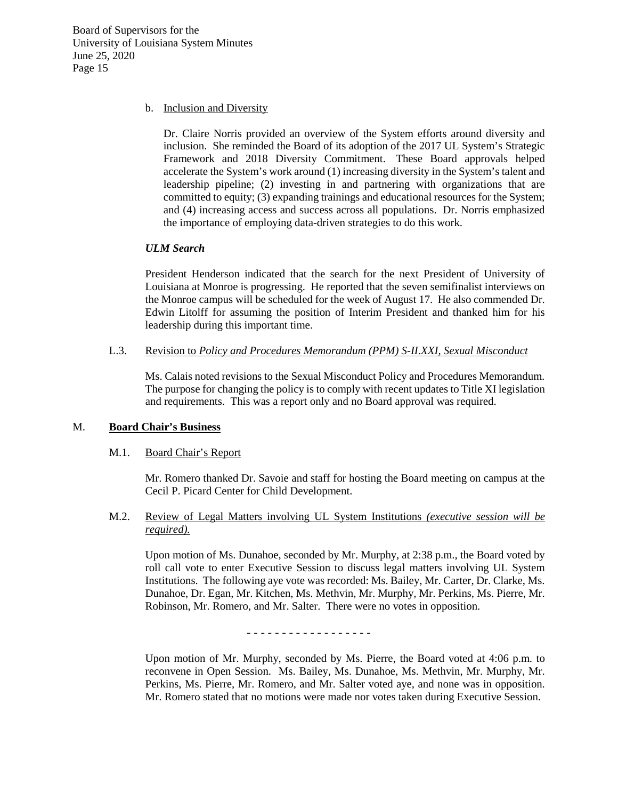### b. Inclusion and Diversity

Dr. Claire Norris provided an overview of the System efforts around diversity and inclusion. She reminded the Board of its adoption of the 2017 UL System's Strategic Framework and 2018 Diversity Commitment. These Board approvals helped accelerate the System's work around (1) increasing diversity in the System's talent and leadership pipeline; (2) investing in and partnering with organizations that are committed to equity; (3) expanding trainings and educational resources for the System; and (4) increasing access and success across all populations. Dr. Norris emphasized the importance of employing data-driven strategies to do this work.

# *ULM Search*

President Henderson indicated that the search for the next President of University of Louisiana at Monroe is progressing. He reported that the seven semifinalist interviews on the Monroe campus will be scheduled for the week of August 17. He also commended Dr. Edwin Litolff for assuming the position of Interim President and thanked him for his leadership during this important time.

# L.3. Revision to *Policy and Procedures Memorandum (PPM) S-II.XXI, Sexual Misconduct*

Ms. Calais noted revisions to the Sexual Misconduct Policy and Procedures Memorandum. The purpose for changing the policy is to comply with recent updates to Title XI legislation and requirements. This was a report only and no Board approval was required.

# M. **Board Chair's Business**

# M.1. Board Chair's Report

Mr. Romero thanked Dr. Savoie and staff for hosting the Board meeting on campus at the Cecil P. Picard Center for Child Development.

M.2. Review of Legal Matters involving UL System Institutions *(executive session will be required).*

Upon motion of Ms. Dunahoe, seconded by Mr. Murphy, at 2:38 p.m., the Board voted by roll call vote to enter Executive Session to discuss legal matters involving UL System Institutions. The following aye vote was recorded: Ms. Bailey, Mr. Carter, Dr. Clarke, Ms. Dunahoe, Dr. Egan, Mr. Kitchen, Ms. Methvin, Mr. Murphy, Mr. Perkins, Ms. Pierre, Mr. Robinson, Mr. Romero, and Mr. Salter. There were no votes in opposition.

- - - - - - - - - - - - - - - - - -

Upon motion of Mr. Murphy, seconded by Ms. Pierre, the Board voted at 4:06 p.m. to reconvene in Open Session. Ms. Bailey, Ms. Dunahoe, Ms. Methvin, Mr. Murphy, Mr. Perkins, Ms. Pierre, Mr. Romero, and Mr. Salter voted aye, and none was in opposition. Mr. Romero stated that no motions were made nor votes taken during Executive Session.